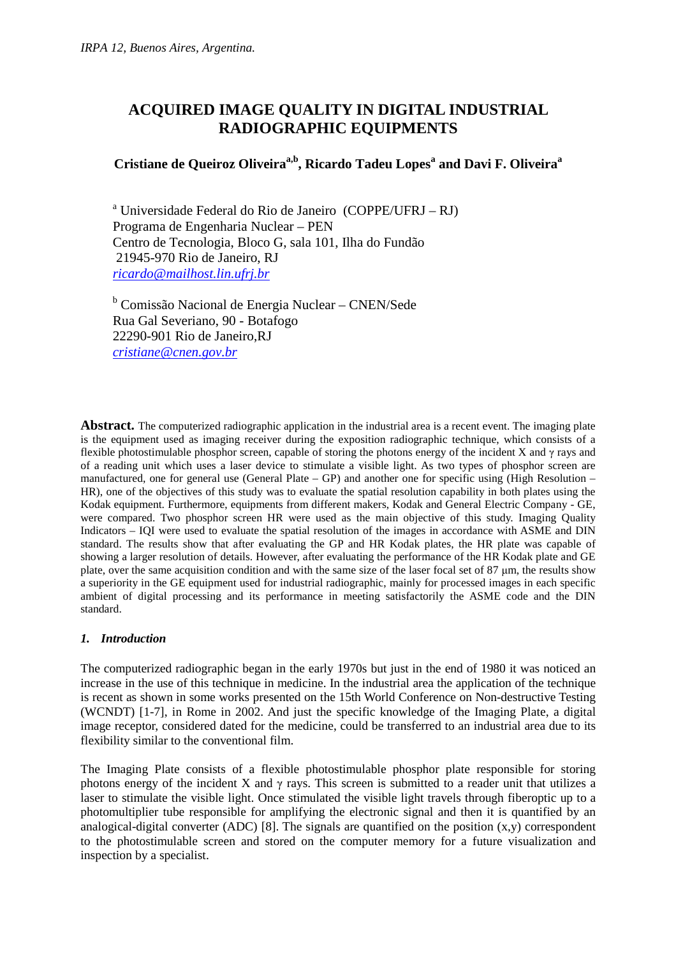# **ACQUIRED IMAGE QUALITY IN DIGITAL INDUSTRIAL RADIOGRAPHIC EQUIPMENTS**

# **Cristiane de Queiroz Oliveiraa,b, Ricardo Tadeu Lopes<sup>a</sup> and Davi F. Oliveira<sup>a</sup>**

<sup>a</sup> Universidade Federal do Rio de Janeiro (COPPE/UFRJ – RJ) Programa de Engenharia Nuclear – PEN Centro de Tecnologia, Bloco G, sala 101, Ilha do Fundão 21945-970 Rio de Janeiro, RJ *ricardo@mailhost.lin.ufrj.br*

<sup>b</sup> Comissão Nacional de Energia Nuclear - CNEN/Sede Rua Gal Severiano, 90 - Botafogo 22290-901 Rio de Janeiro,RJ *cristiane@cnen.gov.br*

**Abstract.** The computerized radiographic application in the industrial area is a recent event. The imaging plate is the equipment used as imaging receiver during the exposition radiographic technique, which consists of a flexible photostimulable phosphor screen, capable of storing the photons energy of the incident X and  $\gamma$  rays and of a reading unit which uses a laser device to stimulate a visible light. As two types of phosphor screen are manufactured, one for general use (General Plate – GP) and another one for specific using (High Resolution – HR), one of the objectives of this study was to evaluate the spatial resolution capability in both plates using the Kodak equipment. Furthermore, equipments from different makers, Kodak and General Electric Company - GE, were compared. Two phosphor screen HR were used as the main objective of this study. Imaging Quality Indicators – IQI were used to evaluate the spatial resolution of the images in accordance with ASME and DIN standard. The results show that after evaluating the GP and HR Kodak plates, the HR plate was capable of showing a larger resolution of details. However, after evaluating the performance of the HR Kodak plate and GE plate, over the same acquisition condition and with the same size of the laser focal set of 87 µm, the results show a superiority in the GE equipment used for industrial radiographic, mainly for processed images in each specific ambient of digital processing and its performance in meeting satisfactorily the ASME code and the DIN standard.

## *1. Introduction*

The computerized radiographic began in the early 1970s but just in the end of 1980 it was noticed an increase in the use of this technique in medicine. In the industrial area the application of the technique is recent as shown in some works presented on the 15th World Conference on Non-destructive Testing (WCNDT) [1-7], in Rome in 2002. And just the specific knowledge of the Imaging Plate, a digital image receptor, considered dated for the medicine, could be transferred to an industrial area due to its flexibility similar to the conventional film.

The Imaging Plate consists of a flexible photostimulable phosphor plate responsible for storing photons energy of the incident X and  $\gamma$  rays. This screen is submitted to a reader unit that utilizes a laser to stimulate the visible light. Once stimulated the visible light travels through fiberoptic up to a photomultiplier tube responsible for amplifying the electronic signal and then it is quantified by an analogical-digital converter (ADC) [8]. The signals are quantified on the position  $(x,y)$  correspondent to the photostimulable screen and stored on the computer memory for a future visualization and inspection by a specialist.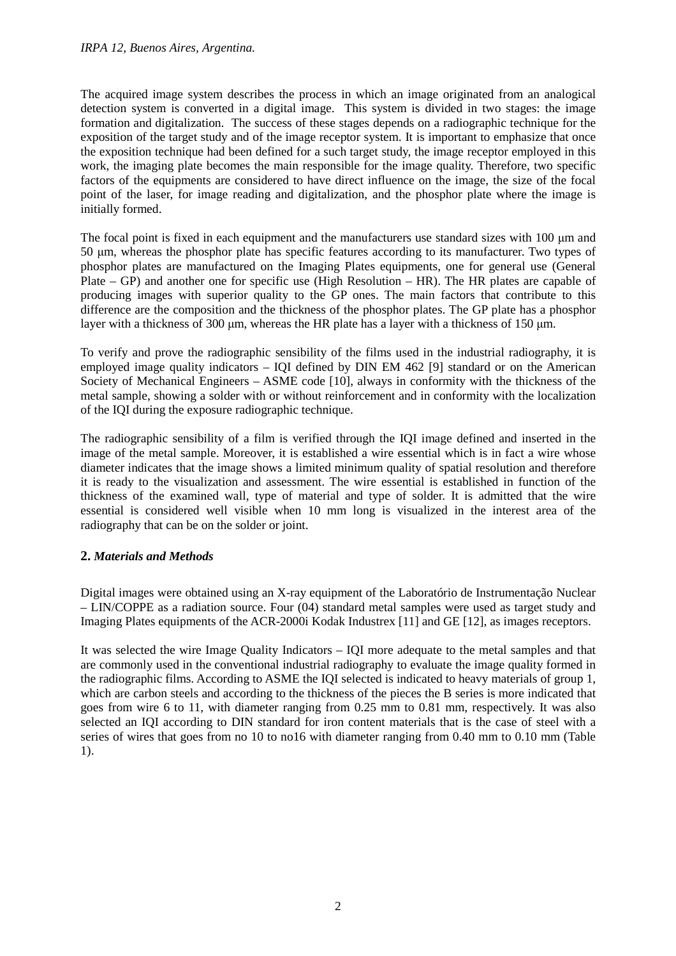#### *IRPA 12, Buenos Aires, Argentina.*

The acquired image system describes the process in which an image originated from an analogical detection system is converted in a digital image. This system is divided in two stages: the image formation and digitalization. The success of these stages depends on a radiographic technique for the exposition of the target study and of the image receptor system. It is important to emphasize that once the exposition technique had been defined for a such target study, the image receptor employed in this work, the imaging plate becomes the main responsible for the image quality. Therefore, two specific factors of the equipments are considered to have direct influence on the image, the size of the focal point of the laser, for image reading and digitalization, and the phosphor plate where the image is initially formed.

The focal point is fixed in each equipment and the manufacturers use standard sizes with 100  $\mu$ m and 50 µm, whereas the phosphor plate has specific features according to its manufacturer. Two types of phosphor plates are manufactured on the Imaging Plates equipments, one for general use (General Plate – GP) and another one for specific use (High Resolution – HR). The HR plates are capable of producing images with superior quality to the GP ones. The main factors that contribute to this difference are the composition and the thickness of the phosphor plates. The GP plate has a phosphor layer with a thickness of 300 µm, whereas the HR plate has a layer with a thickness of 150 µm.

To verify and prove the radiographic sensibility of the films used in the industrial radiography, it is employed image quality indicators – IQI defined by DIN EM 462 [9] standard or on the American Society of Mechanical Engineers – ASME code [10], always in conformity with the thickness of the metal sample, showing a solder with or without reinforcement and in conformity with the localization of the IQI during the exposure radiographic technique.

The radiographic sensibility of a film is verified through the IQI image defined and inserted in the image of the metal sample. Moreover, it is established a wire essential which is in fact a wire whose diameter indicates that the image shows a limited minimum quality of spatial resolution and therefore it is ready to the visualization and assessment. The wire essential is established in function of the thickness of the examined wall, type of material and type of solder. It is admitted that the wire essential is considered well visible when 10 mm long is visualized in the interest area of the radiography that can be on the solder or joint.

## **2.** *Materials and Methods*

Digital images were obtained using an X-ray equipment of the Laboratório de Instrumentação Nuclear – LIN/COPPE as a radiation source. Four (04) standard metal samples were used as target study and Imaging Plates equipments of the ACR-2000i Kodak Industrex [11] and GE [12], as images receptors.

It was selected the wire Image Quality Indicators – IQI more adequate to the metal samples and that are commonly used in the conventional industrial radiography to evaluate the image quality formed in the radiographic films. According to ASME the IQI selected is indicated to heavy materials of group 1, which are carbon steels and according to the thickness of the pieces the B series is more indicated that goes from wire 6 to 11, with diameter ranging from 0.25 mm to 0.81 mm, respectively. It was also selected an IQI according to DIN standard for iron content materials that is the case of steel with a series of wires that goes from no 10 to no16 with diameter ranging from 0.40 mm to 0.10 mm (Table 1).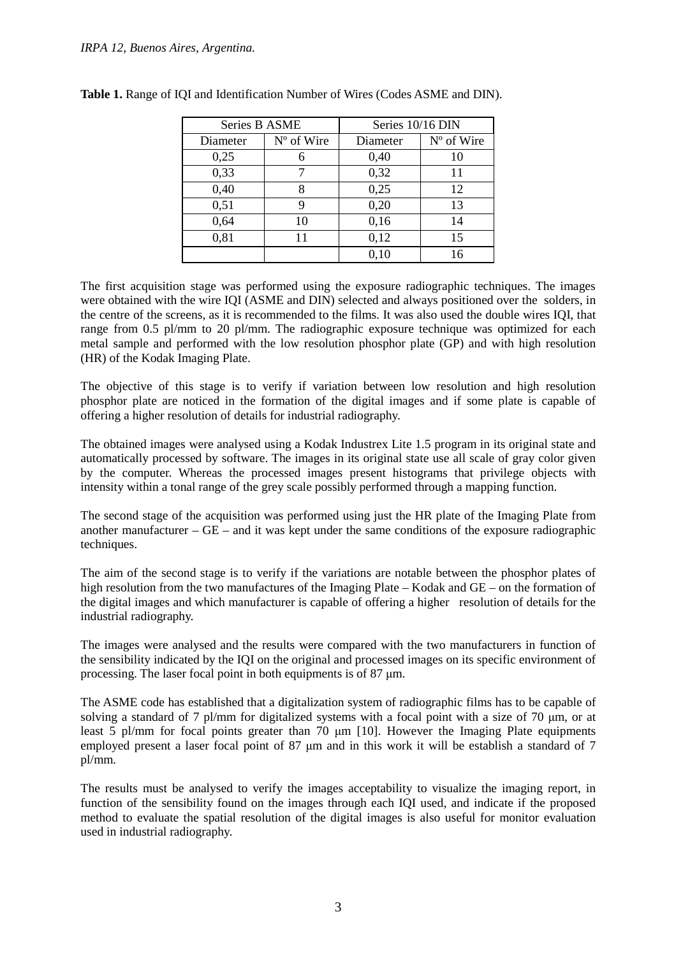| Series B ASME |            | Series 10/16 DIN |              |  |
|---------------|------------|------------------|--------------|--|
| Diameter      | N° of Wire | Diameter         | $No$ of Wire |  |
| 0,25          |            | 0,40             | 10           |  |
| 0,33          |            | 0,32             | 11           |  |
| 0,40          | 8          | 0,25             | 12           |  |
| 0,51          | 9          | 0,20             | 13           |  |
| 0,64          | 10         | 0,16             | 14           |  |
| 0,81          | 11         | 0,12             | 15           |  |
|               |            | 0,10             | 16           |  |

|  | <b>Table 1.</b> Range of IQI and Identification Number of Wires (Codes ASME and DIN). |  |  |
|--|---------------------------------------------------------------------------------------|--|--|
|  |                                                                                       |  |  |

The first acquisition stage was performed using the exposure radiographic techniques. The images were obtained with the wire IQI (ASME and DIN) selected and always positioned over the solders, in the centre of the screens, as it is recommended to the films. It was also used the double wires IQI, that range from 0.5 pl/mm to 20 pl/mm. The radiographic exposure technique was optimized for each metal sample and performed with the low resolution phosphor plate (GP) and with high resolution (HR) of the Kodak Imaging Plate.

The objective of this stage is to verify if variation between low resolution and high resolution phosphor plate are noticed in the formation of the digital images and if some plate is capable of offering a higher resolution of details for industrial radiography.

The obtained images were analysed using a Kodak Industrex Lite 1.5 program in its original state and automatically processed by software. The images in its original state use all scale of gray color given by the computer. Whereas the processed images present histograms that privilege objects with intensity within a tonal range of the grey scale possibly performed through a mapping function.

The second stage of the acquisition was performed using just the HR plate of the Imaging Plate from another manufacturer –  $GE$  – and it was kept under the same conditions of the exposure radiographic techniques.

The aim of the second stage is to verify if the variations are notable between the phosphor plates of high resolution from the two manufactures of the Imaging Plate – Kodak and GE – on the formation of the digital images and which manufacturer is capable of offering a higher resolution of details for the industrial radiography.

The images were analysed and the results were compared with the two manufacturers in function of the sensibility indicated by the IQI on the original and processed images on its specific environment of processing. The laser focal point in both equipments is of 87 µm.

The ASME code has established that a digitalization system of radiographic films has to be capable of solving a standard of 7 pl/mm for digitalized systems with a focal point with a size of 70 µm, or at least  $\overline{5}$  pl/mm for focal points greater than 70  $\mu$ m [10]. However the Imaging Plate equipments employed present a laser focal point of 87  $\mu$ m and in this work it will be establish a standard of 7 pl/mm.

The results must be analysed to verify the images acceptability to visualize the imaging report, in function of the sensibility found on the images through each IQI used, and indicate if the proposed method to evaluate the spatial resolution of the digital images is also useful for monitor evaluation used in industrial radiography.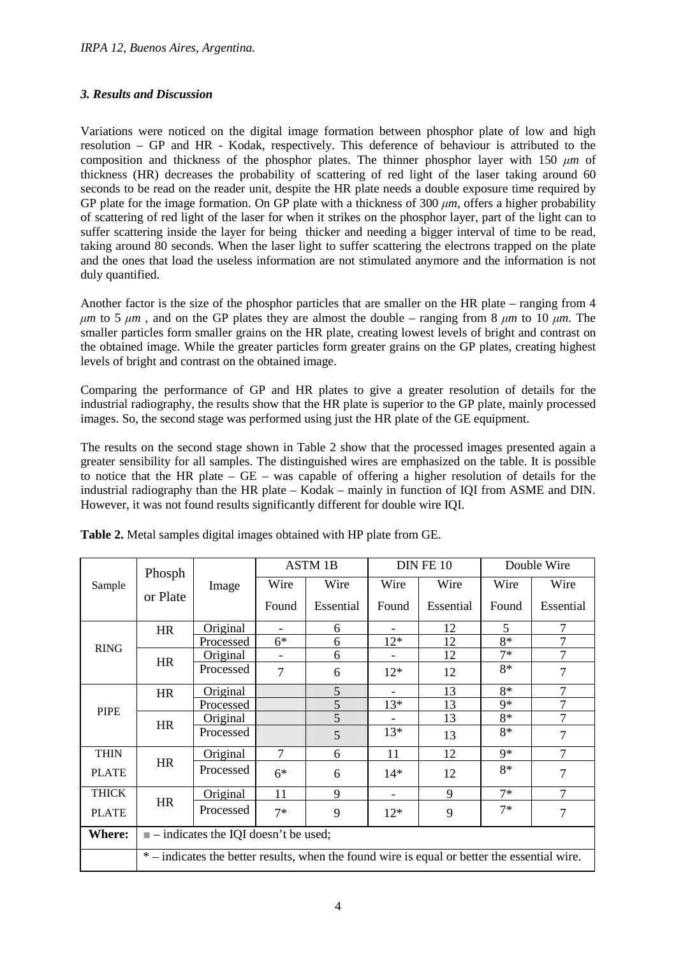## *3. Results and Discussion*

Variations were noticed on the digital image formation between phosphor plate of low and high resolution – GP and HR - Kodak, respectively. This deference of behaviour is attributed to the composition and thickness of the phosphor plates. The thinner phosphor layer with 150  $\mu$ *m* of thickness (HR) decreases the probability of scattering of red light of the laser taking around 60 seconds to be read on the reader unit, despite the HR plate needs a double exposure time required by GP plate for the image formation. On GP plate with a thickness of 300  $\mu$ *m*, offers a higher probability of scattering of red light of the laser for when it strikes on the phosphor layer, part of the light can to suffer scattering inside the layer for being thicker and needing a bigger interval of time to be read, taking around 80 seconds. When the laser light to suffer scattering the electrons trapped on the plate and the ones that load the useless information are not stimulated anymore and the information is not duly quantified.

Another factor is the size of the phosphor particles that are smaller on the HR plate – ranging from 4 *µm* to 5 *µm* , and on the GP plates they are almost the double – ranging from 8 *µm* to 10 *µm*. The smaller particles form smaller grains on the HR plate, creating lowest levels of bright and contrast on the obtained image. While the greater particles form greater grains on the GP plates, creating highest levels of bright and contrast on the obtained image.

Comparing the performance of GP and HR plates to give a greater resolution of details for the industrial radiography, the results show that the HR plate is superior to the GP plate, mainly processed images. So, the second stage was performed using just the HR plate of the GE equipment.

The results on the second stage shown in Table 2 show that the processed images presented again a greater sensibility for all samples. The distinguished wires are emphasized on the table. It is possible to notice that the HR plate – GE – was capable of offering a higher resolution of details for the industrial radiography than the HR plate – Kodak – mainly in function of IQI from ASME and DIN. However, it was not found results significantly different for double wire IQI.

| Sample        | Phosph                                                                                     |                 | <b>ASTM 1B</b> |           | DIN FE 10 |           | Double Wire |                |
|---------------|--------------------------------------------------------------------------------------------|-----------------|----------------|-----------|-----------|-----------|-------------|----------------|
|               |                                                                                            | Image           | Wire           | Wire      | Wire      | Wire      | Wire        | Wire           |
|               | or Plate                                                                                   |                 | Found          | Essential | Found     | Essential | Found       | Essential      |
| <b>RING</b>   | <b>HR</b>                                                                                  | Original        |                | 6         |           | 12        | 5           | 7              |
|               |                                                                                            | Processed       | $6*$           | 6         | $12*$     | 12        | 8*          | 7              |
|               | <b>HR</b>                                                                                  | <b>Original</b> |                | 6         |           | 12        | $7*$        | 7              |
|               |                                                                                            | Processed       | $\tau$         | 6         | $12*$     | 12        | $8*$        | 7              |
| <b>PIPE</b>   | <b>HR</b>                                                                                  | Original        |                | 5         |           | 13        | 8*          | 7              |
|               |                                                                                            | Processed       |                | 5         | $13*$     | 13        | 9*          | 7              |
|               | <b>HR</b>                                                                                  | Original        |                | 5         |           | 13        | 8*          | 7              |
|               |                                                                                            | Processed       |                | 5         | $13*$     | 13        | 8*          | 7              |
| <b>THIN</b>   |                                                                                            | Original        | $\tau$         | 6         | 11        | 12        | $9*$        | 7              |
| <b>PLATE</b>  | <b>HR</b>                                                                                  | Processed       | $6*$           | 6         | $14*$     | 12        | 8*          | 7              |
| <b>THICK</b>  |                                                                                            | Original        | 11             | 9         |           | 9         | $7*$        | 7              |
| <b>PLATE</b>  | <b>HR</b>                                                                                  | Processed       | $7*$           | 9         | $12*$     | 9         | $7*$        | $\overline{7}$ |
| <b>Where:</b> | $\blacksquare$ - indicates the IQI doesn't be used;                                        |                 |                |           |           |           |             |                |
|               | *-indicates the better results, when the found wire is equal or better the essential wire. |                 |                |           |           |           |             |                |

**Table 2.** Metal samples digital images obtained with HP plate from GE.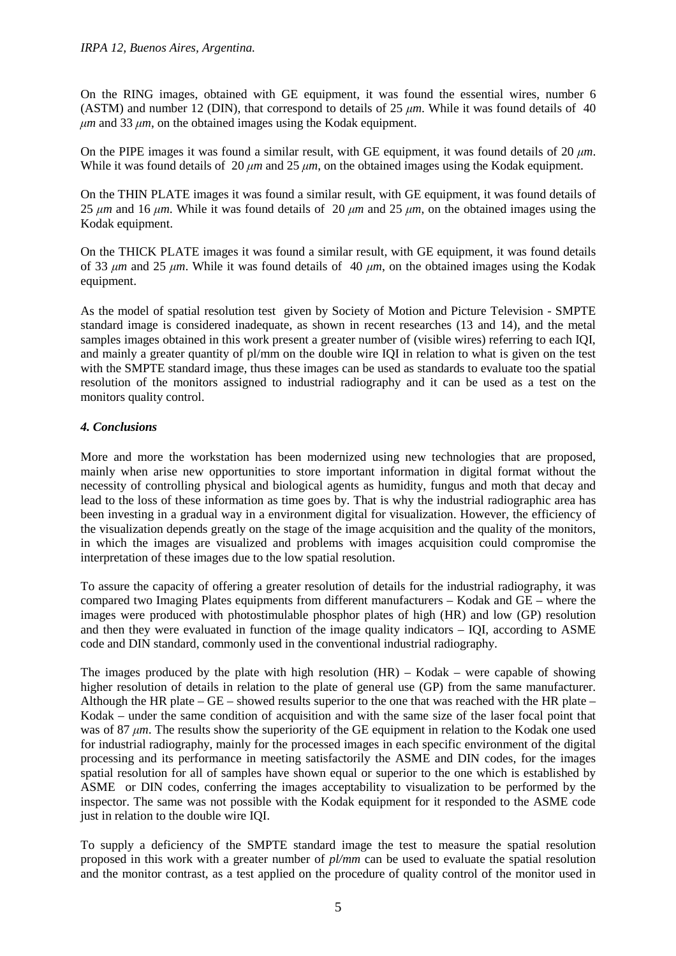On the RING images, obtained with GE equipment, it was found the essential wires, number 6 (ASTM) and number 12 (DIN), that correspond to details of 25 *µm*. While it was found details of 40 *µm* and 33 *µm*, on the obtained images using the Kodak equipment.

On the PIPE images it was found a similar result, with GE equipment, it was found details of 20  $\mu$ *m*. While it was found details of 20  $\mu$ *m* and 25  $\mu$ *m*, on the obtained images using the Kodak equipment.

On the THIN PLATE images it was found a similar result, with GE equipment, it was found details of 25  $\mu$ *m* and 16  $\mu$ *m*. While it was found details of 20  $\mu$ *m* and 25  $\mu$ *m*, on the obtained images using the Kodak equipment.

On the THICK PLATE images it was found a similar result, with GE equipment, it was found details of 33 *µm* and 25 *µm*. While it was found details of 40 *µm*, on the obtained images using the Kodak equipment.

As the model of spatial resolution test given by Society of Motion and Picture Television - SMPTE standard image is considered inadequate, as shown in recent researches (13 and 14), and the metal samples images obtained in this work present a greater number of (visible wires) referring to each IQI, and mainly a greater quantity of pl/mm on the double wire IQI in relation to what is given on the test with the SMPTE standard image, thus these images can be used as standards to evaluate too the spatial resolution of the monitors assigned to industrial radiography and it can be used as a test on the monitors quality control.

## *4. Conclusions*

More and more the workstation has been modernized using new technologies that are proposed, mainly when arise new opportunities to store important information in digital format without the necessity of controlling physical and biological agents as humidity, fungus and moth that decay and lead to the loss of these information as time goes by. That is why the industrial radiographic area has been investing in a gradual way in a environment digital for visualization. However, the efficiency of the visualization depends greatly on the stage of the image acquisition and the quality of the monitors, in which the images are visualized and problems with images acquisition could compromise the interpretation of these images due to the low spatial resolution.

To assure the capacity of offering a greater resolution of details for the industrial radiography, it was compared two Imaging Plates equipments from different manufacturers – Kodak and GE – where the images were produced with photostimulable phosphor plates of high (HR) and low (GP) resolution and then they were evaluated in function of the image quality indicators – IQI, according to ASME code and DIN standard, commonly used in the conventional industrial radiography.

The images produced by the plate with high resolution (HR) – Kodak – were capable of showing higher resolution of details in relation to the plate of general use (GP) from the same manufacturer. Although the HR plate – GE – showed results superior to the one that was reached with the HR plate – Kodak – under the same condition of acquisition and with the same size of the laser focal point that was of 87 *um*. The results show the superiority of the GE equipment in relation to the Kodak one used for industrial radiography, mainly for the processed images in each specific environment of the digital processing and its performance in meeting satisfactorily the ASME and DIN codes, for the images spatial resolution for all of samples have shown equal or superior to the one which is established by ASME or DIN codes, conferring the images acceptability to visualization to be performed by the inspector. The same was not possible with the Kodak equipment for it responded to the ASME code just in relation to the double wire IQI.

To supply a deficiency of the SMPTE standard image the test to measure the spatial resolution proposed in this work with a greater number of *pl/mm* can be used to evaluate the spatial resolution and the monitor contrast, as a test applied on the procedure of quality control of the monitor used in